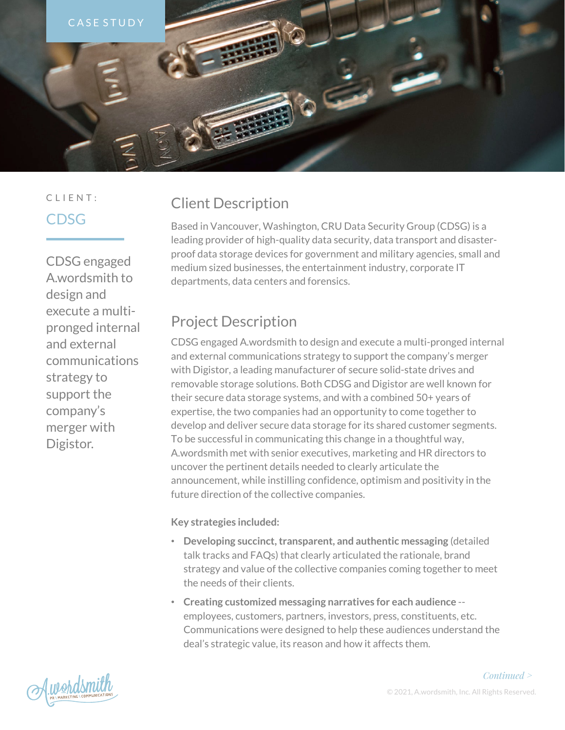

# CLIENT: CDSG

CDSG engaged A.wordsmith to design and execute a multipronged internal and external communications strategy to support the company's merger with Digistor.

# Client Description

Based in Vancouver, Washington, CRU Data Security Group (CDSG) is a leading provider of high-quality data security, data transport and disasterproof data storage devices for government and military agencies, small and medium sized businesses, the entertainment industry, corporate IT departments, data centers and forensics.

# Project Description

CDSG engaged A.wordsmith to design and execute a multi-pronged internal and external communications strategy to support the company's merger with Digistor, a leading manufacturer of secure solid-state drives and removable storage solutions. Both CDSG and Digistor are well known for their secure data storage systems, and with a combined 50+ years of expertise, the two companies had an opportunity to come together to develop and deliver secure data storage for its shared customer segments. To be successful in communicating this change in a thoughtful way, A.wordsmith met with senior executives, marketing and HR directors to uncover the pertinent details needed to clearly articulate the announcement, while instilling confidence, optimism and positivity in the future direction of the collective companies.

#### **Key strategies included:**

- **Developing succinct, transparent, and authentic messaging** (detailed talk tracks and FAQs) that clearly articulated the rationale, brand strategy and value of the collective companies coming together to meet the needs of their clients.
- **Creating customized messaging narratives for each audience**  employees, customers, partners, investors, press, constituents, etc. Communications were designed to help these audiences understand the deal's strategic value, its reason and how it affects them.